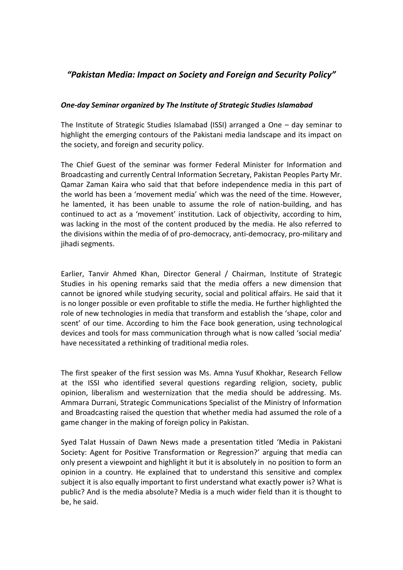## *"Pakistan Media: Impact on Society and Foreign and Security Policy"*

## *One-day Seminar organized by The Institute of Strategic Studies Islamabad*

The Institute of Strategic Studies Islamabad (ISSI) arranged a One – day seminar to highlight the emerging contours of the Pakistani media landscape and its impact on the society, and foreign and security policy.

The Chief Guest of the seminar was former Federal Minister for Information and Broadcasting and currently Central Information Secretary, Pakistan Peoples Party Mr. Qamar Zaman Kaira who said that that before independence media in this part of the world has been a 'movement media' which was the need of the time. However, he lamented, it has been unable to assume the role of nation-building, and has continued to act as a 'movement' institution. Lack of objectivity, according to him, was lacking in the most of the content produced by the media. He also referred to the divisions within the media of of pro-democracy, anti-democracy, pro-military and jihadi segments.

Earlier, Tanvir Ahmed Khan, Director General / Chairman, Institute of Strategic Studies in his opening remarks said that the media offers a new dimension that cannot be ignored while studying security, social and political affairs. He said that it is no longer possible or even profitable to stifle the media. He further highlighted the role of new technologies in media that transform and establish the 'shape, color and scent' of our time. According to him the Face book generation, using technological devices and tools for mass communication through what is now called 'social media' have necessitated a rethinking of traditional media roles.

The first speaker of the first session was Ms. Amna Yusuf Khokhar, Research Fellow at the ISSI who identified several questions regarding religion, society, public opinion, liberalism and westernization that the media should be addressing. Ms. Ammara Durrani, Strategic Communications Specialist of the Ministry of Information and Broadcasting raised the question that whether media had assumed the role of a game changer in the making of foreign policy in Pakistan.

Syed Talat Hussain of Dawn News made a presentation titled 'Media in Pakistani Society: Agent for Positive Transformation or Regression?' arguing that media can only present a viewpoint and highlight it but it is absolutely in no position to form an opinion in a country. He explained that to understand this sensitive and complex subject it is also equally important to first understand what exactly power is? What is public? And is the media absolute? Media is a much wider field than it is thought to be, he said.